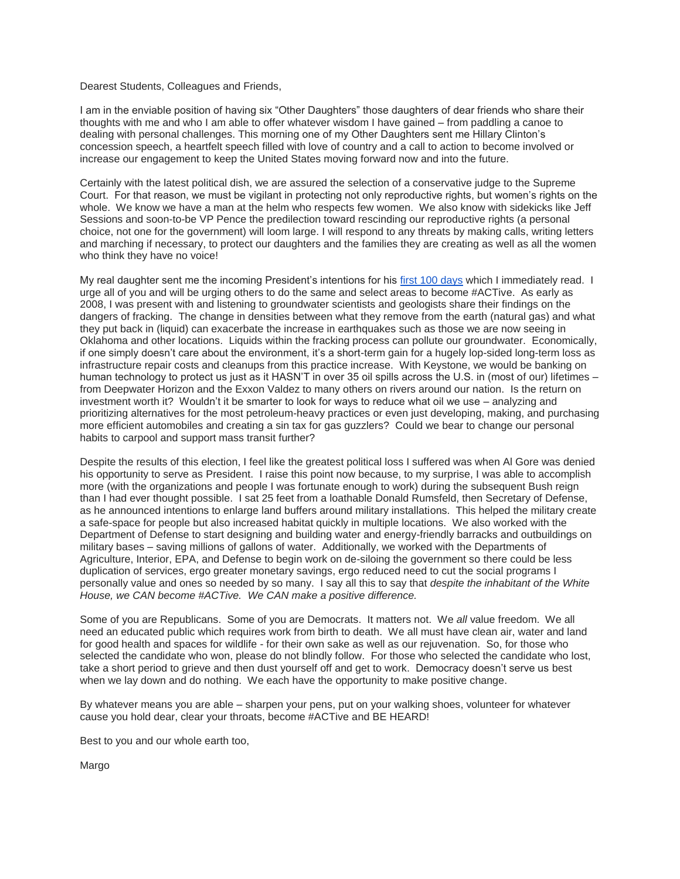## Dearest Students, Colleagues and Friends,

I am in the enviable position of having six "Other Daughters" those daughters of dear friends who share their thoughts with me and who I am able to offer whatever wisdom I have gained – from paddling a canoe to dealing with personal challenges. This morning one of my Other Daughters sent me Hillary Clinton's concession speech, a heartfelt speech filled with love of country and a call to action to become involved or increase our engagement to keep the United States moving forward now and into the future.

Certainly with the latest political dish, we are assured the selection of a conservative judge to the Supreme Court. For that reason, we must be vigilant in protecting not only reproductive rights, but women's rights on the whole. We know we have a man at the helm who respects few women. We also know with sidekicks like Jeff Sessions and soon-to-be VP Pence the predilection toward rescinding our reproductive rights (a personal choice, not one for the government) will loom large. I will respond to any threats by making calls, writing letters and marching if necessary, to protect our daughters and the families they are creating as well as all the women who think they have no voice!

My real daughter sent me the incoming President's intentions for his [first 100 days](http://www.npr.org/2016/11/09/501451368/here-is-what-donald-trump-wants-to-do-in-his-first-100-days) which I immediately read. I urge all of you and will be urging others to do the same and select areas to become #ACTive. As early as 2008, I was present with and listening to groundwater scientists and geologists share their findings on the dangers of fracking. The change in densities between what they remove from the earth (natural gas) and what they put back in (liquid) can exacerbate the increase in earthquakes such as those we are now seeing in Oklahoma and other locations. Liquids within the fracking process can pollute our groundwater. Economically, if one simply doesn't care about the environment, it's a short-term gain for a hugely lop-sided long-term loss as infrastructure repair costs and cleanups from this practice increase. With Keystone, we would be banking on human technology to protect us just as it HASN'T in over 35 oil spills across the U.S. in (most of our) lifetimes – from Deepwater Horizon and the Exxon Valdez to many others on rivers around our nation. Is the return on investment worth it? Wouldn't it be smarter to look for ways to reduce what oil we use – analyzing and prioritizing alternatives for the most petroleum-heavy practices or even just developing, making, and purchasing more efficient automobiles and creating a sin tax for gas guzzlers? Could we bear to change our personal habits to carpool and support mass transit further?

Despite the results of this election, I feel like the greatest political loss I suffered was when Al Gore was denied his opportunity to serve as President. I raise this point now because, to my surprise, I was able to accomplish more (with the organizations and people I was fortunate enough to work) during the subsequent Bush reign than I had ever thought possible. I sat 25 feet from a loathable Donald Rumsfeld, then Secretary of Defense, as he announced intentions to enlarge land buffers around military installations. This helped the military create a safe-space for people but also increased habitat quickly in multiple locations. We also worked with the Department of Defense to start designing and building water and energy-friendly barracks and outbuildings on military bases – saving millions of gallons of water. Additionally, we worked with the Departments of Agriculture, Interior, EPA, and Defense to begin work on de-siloing the government so there could be less duplication of services, ergo greater monetary savings, ergo reduced need to cut the social programs I personally value and ones so needed by so many. I say all this to say that *despite the inhabitant of the White House, we CAN become #ACTive. We CAN make a positive difference.*

Some of you are Republicans. Some of you are Democrats. It matters not. We *all* value freedom. We all need an educated public which requires work from birth to death. We all must have clean air, water and land for good health and spaces for wildlife - for their own sake as well as our rejuvenation. So, for those who selected the candidate who won, please do not blindly follow. For those who selected the candidate who lost, take a short period to grieve and then dust yourself off and get to work. Democracy doesn't serve us best when we lay down and do nothing. We each have the opportunity to make positive change.

By whatever means you are able – sharpen your pens, put on your walking shoes, volunteer for whatever cause you hold dear, clear your throats, become #ACTive and BE HEARD!

Best to you and our whole earth too,

Margo